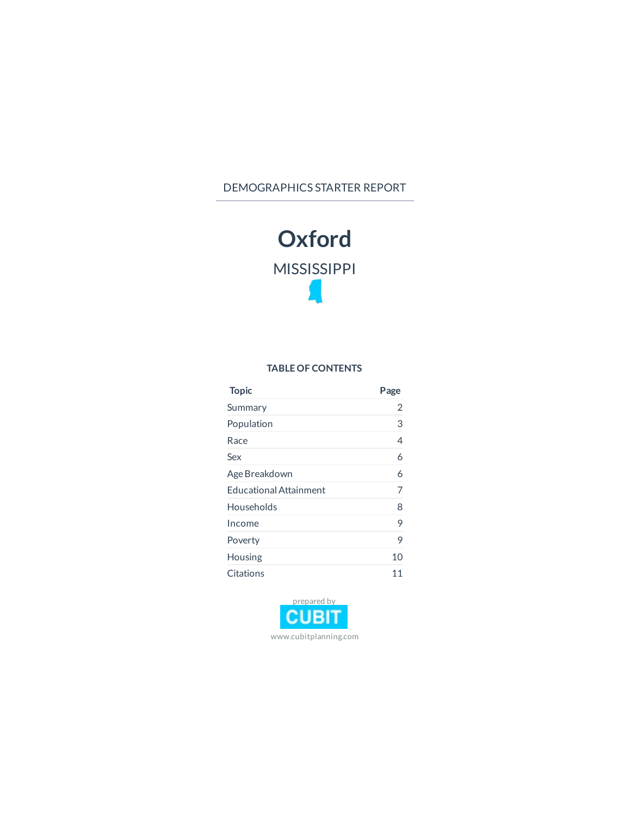#### DEMOGRAPHICS STARTER REPORT



#### **TABLE OF CONTENTS**

| <b>Topic</b>                  | Page |
|-------------------------------|------|
| Summary                       | 2    |
| Population                    | 3    |
| Race                          | 4    |
| Sex                           | 6    |
| Age Breakdown                 | 6    |
| <b>Educational Attainment</b> | 7    |
| Households                    | 8    |
| Income                        | 9    |
| Poverty                       | 9    |
| Housing                       | 10   |
| Citations                     | 11   |

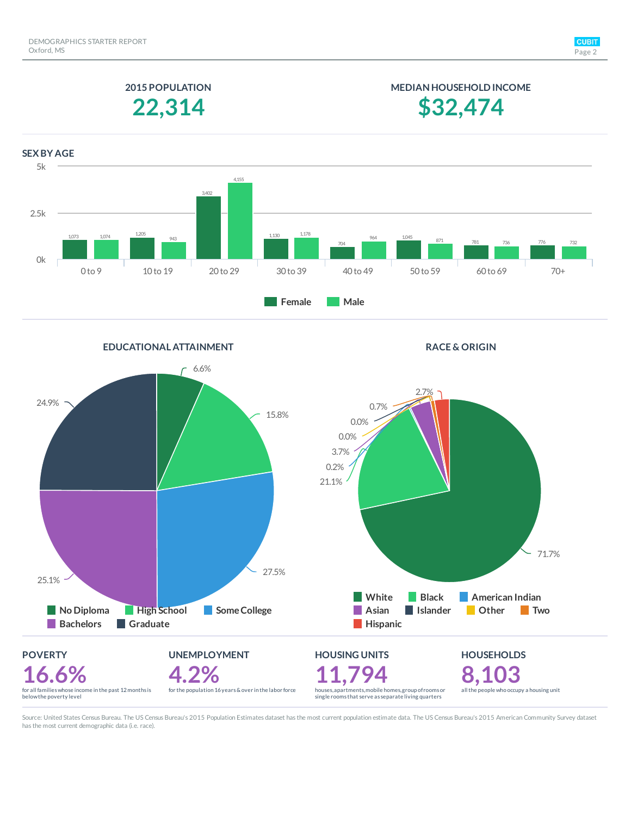**MEDIAN HOUSEHOLD INCOME**

**\$32,474**

### **2015 POPULATION 22,314**



**EDUCATIONAL ATTAINMENT RACE & ORIGIN POVERTY 16.6%**<br>for all families whose income in the past 12 months is<br>belowthe poverty level **UNEMPLOYMENT 4.2%** for the population 16years&over in the labor force **HOUSING UNITS 11,794** houses, apartments, mobile homes, group of rooms or single rooms that serve as separate living quarters **HOUSEHOLDS 8,103** all the people who occupy a housing unit  $-6.6%$ 15.8% 27.5% 25.1% 24.9% **High School Some College Bachelors Graduate** 71.7% 21.1% 0.2% 3.7% 0.0% 0.0% 0.7% 2.7% **White Black American Indian Asian Islander Other Two Hispanic** 

Source: United States Census Bureau. The US Census Bureau's 2015 Population Estimates dataset has the most current population estimate data. The US Census Bureau's 2015 American Community Survey dataset has the most current demographic data (i.e. race).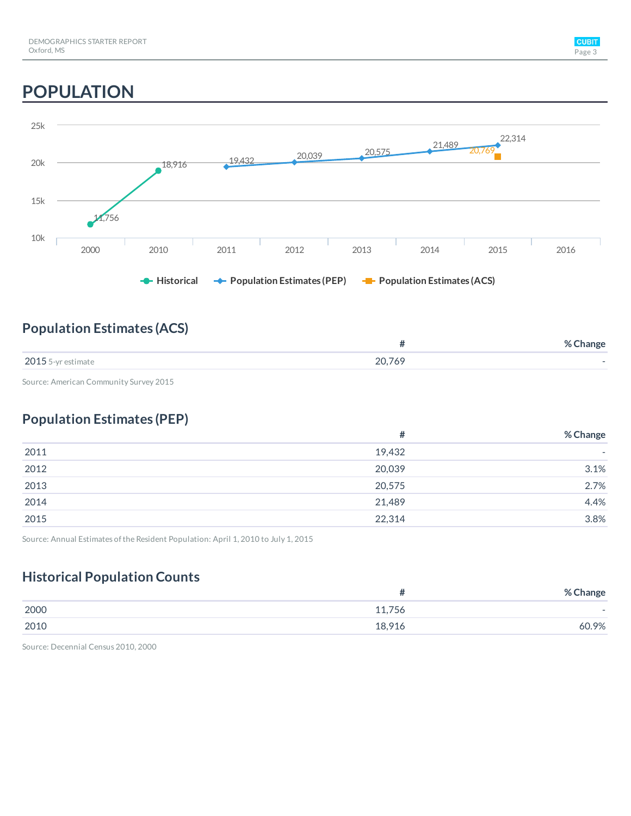# **POPULATION**



### **Population Estimates (ACS)**

|                    |        | % Change |
|--------------------|--------|----------|
| 2015 5-yr estimate | 20,769 |          |

Source: American Community Survey 2015

### **Population Estimates (PEP)**

|      | #      | % Change                 |
|------|--------|--------------------------|
| 2011 | 19,432 | $\overline{\phantom{a}}$ |
| 2012 | 20,039 | 3.1%                     |
| 2013 | 20,575 | 2.7%                     |
| 2014 | 21,489 | 4.4%                     |
| 2015 | 22,314 | 3.8%                     |

Source: Annual Estimates of the Resident Population: April 1, 2010 to July 1, 2015

### **Historical Population Counts**

|      | π      | % Change                 |
|------|--------|--------------------------|
| 2000 | 11,756 | $\overline{\phantom{0}}$ |
| 2010 | 18,916 | 60.9%                    |

Source: Decennial Census 2010, 2000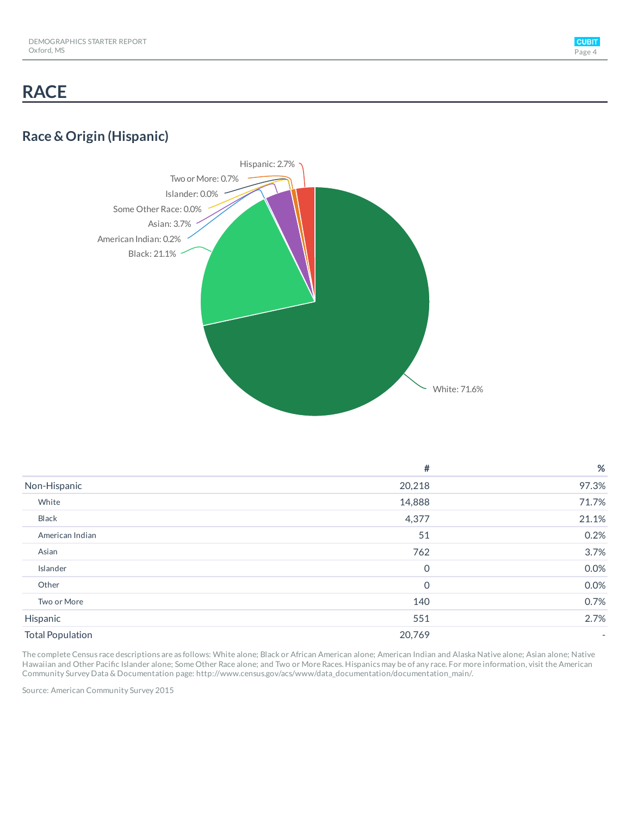## **RACE**

### **Race & Origin (Hispanic)**



|                         | #              | %                        |
|-------------------------|----------------|--------------------------|
| Non-Hispanic            | 20,218         | 97.3%                    |
| White                   | 14,888         | 71.7%                    |
| Black                   | 4,377          | 21.1%                    |
| American Indian         | 51             | 0.2%                     |
| Asian                   | 762            | 3.7%                     |
| Islander                | $\overline{0}$ | 0.0%                     |
| Other                   | $\mathbf 0$    | 0.0%                     |
| Two or More             | 140            | 0.7%                     |
| Hispanic                | 551            | 2.7%                     |
| <b>Total Population</b> | 20,769         | $\overline{\phantom{0}}$ |

The complete Census race descriptions are as follows: White alone; Black or African American alone; American Indian and Alaska Native alone; Asian alone; Native Hawaiian and Other Pacific Islander alone; Some Other Race alone; and Two or More Races. Hispanics may be of any race. For more information, visit the American Community Survey Data & Documentation page: http://www.census.gov/acs/www/data\_documentation/documentation\_main/.

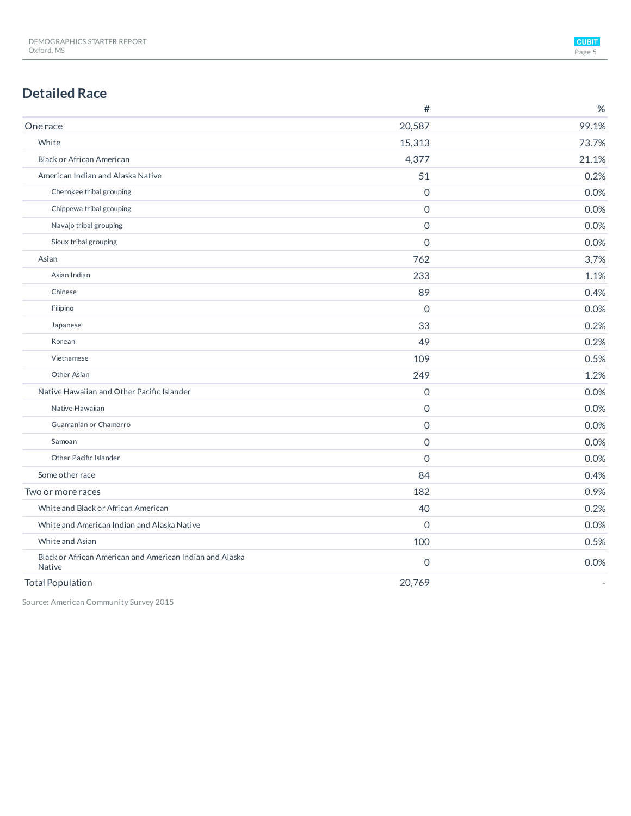### **Detailed Race**

|                                                                           | #              | %     |
|---------------------------------------------------------------------------|----------------|-------|
| <b>Onerace</b>                                                            | 20,587         | 99.1% |
| White                                                                     | 15,313         | 73.7% |
| <b>Black or African American</b>                                          | 4,377          | 21.1% |
| American Indian and Alaska Native                                         | 51             | 0.2%  |
| Cherokee tribal grouping                                                  | $\mathbf 0$    | 0.0%  |
| Chippewa tribal grouping                                                  | $\mathbf 0$    | 0.0%  |
| Navajo tribal grouping                                                    | $\Omega$       | 0.0%  |
| Sioux tribal grouping                                                     | $\Omega$       | 0.0%  |
| Asian                                                                     | 762            | 3.7%  |
| Asian Indian                                                              | 233            | 1.1%  |
| Chinese                                                                   | 89             | 0.4%  |
| Filipino                                                                  | $\overline{0}$ | 0.0%  |
| Japanese                                                                  | 33             | 0.2%  |
| Korean                                                                    | 49             | 0.2%  |
| Vietnamese                                                                | 109            | 0.5%  |
| Other Asian                                                               | 249            | 1.2%  |
| Native Hawaiian and Other Pacific Islander                                | $\mathbf 0$    | 0.0%  |
| Native Hawaiian                                                           | $\overline{0}$ | 0.0%  |
| Guamanian or Chamorro                                                     | $\Omega$       | 0.0%  |
| Samoan                                                                    | 0              | 0.0%  |
| Other Pacific Islander                                                    | $\Omega$       | 0.0%  |
| Some other race                                                           | 84             | 0.4%  |
| Two or more races                                                         | 182            | 0.9%  |
| White and Black or African American                                       | 40             | 0.2%  |
| White and American Indian and Alaska Native                               | $\mathbf 0$    | 0.0%  |
| White and Asian                                                           | 100            | 0.5%  |
| Black or African American and American Indian and Alaska<br><b>Native</b> | 0              | 0.0%  |
| <b>Total Population</b>                                                   | 20,769         |       |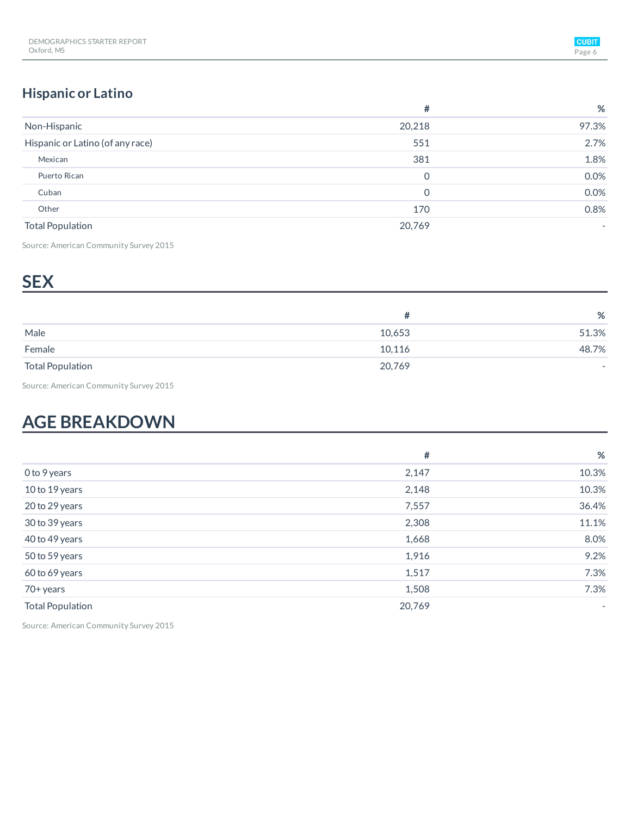### **Hispanic or Latino**

|                                  | #      | %     |
|----------------------------------|--------|-------|
| Non-Hispanic                     | 20,218 | 97.3% |
| Hispanic or Latino (of any race) | 551    | 2.7%  |
| Mexican                          | 381    | 1.8%  |
| Puerto Rican                     | 0      | 0.0%  |
| Cuban                            | 0      | 0.0%  |
| Other                            | 170    | 0.8%  |
| <b>Total Population</b>          | 20,769 |       |

Source: American Community Survey 2015

## **S E X**

|                         |        | %                        |
|-------------------------|--------|--------------------------|
| Male                    | 10,653 | 51.3%                    |
| Female                  | 10,116 | 48.7%                    |
| <b>Total Population</b> | 20,769 | $\overline{\phantom{a}}$ |

Source: American Community Survey 2015

## **AGE BREAKDOWN**

|                         | #      | %      |
|-------------------------|--------|--------|
| 0 to 9 years            | 2,147  | 10.3%  |
| 10 to 19 years          | 2,148  | 10.3%  |
| 20 to 29 years          | 7,557  | 36.4%  |
| 30 to 39 years          | 2,308  | 11.1%  |
| 40 to 49 years          | 1,668  | 8.0%   |
| 50 to 59 years          | 1,916  | 9.2%   |
| 60 to 69 years          | 1,517  | 7.3%   |
| 70+ years               | 1,508  | 7.3%   |
| <b>Total Population</b> | 20,769 | $\sim$ |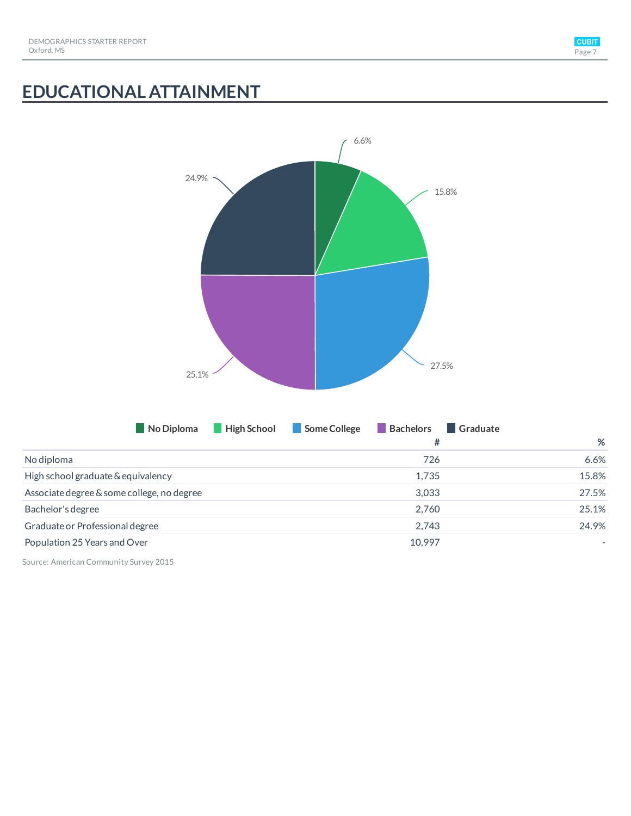

# **EDUCATIONAL ATTAINMENT**

| 24.9%<br>25.1%<br>No Diploma               | 6.6%<br>27.5%<br>Some College<br>Bachelors<br>High School | 15.8%<br>Graduate |
|--------------------------------------------|-----------------------------------------------------------|-------------------|
|                                            | $\#$                                                      | $\%$              |
| No diploma                                 | 726                                                       | 6.6%              |
| High school graduate & equivalency         | 1,735                                                     | 15.8%             |
| Associate degree & some college, no degree | 3,033                                                     | 27.5%             |
| Bachelor's degree                          | 2,760                                                     | 25.1%             |
| Graduate or Professional degree            | 2,743                                                     | 24.9%             |
| Population 25 Years and Over               | 10,997                                                    |                   |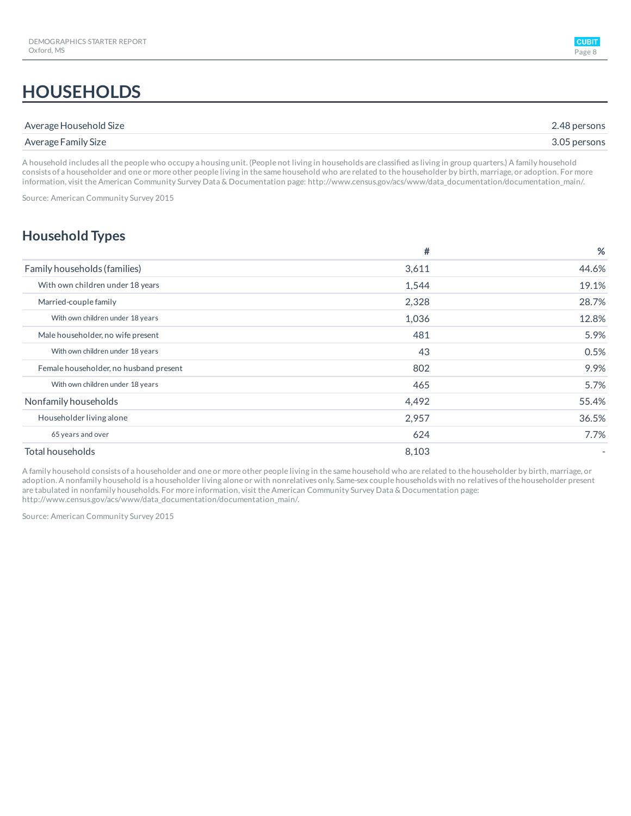## **HOUSEHOLDS**

| Average Household Size | 2.48 persons |
|------------------------|--------------|
| Average Family Size    | 3.05 persons |

A household includes all the people who occupy a housing unit. (People not living in households are classified as living in group quarters.) A family household consists of a householder and one or more other people living in the same household who are related to the householder by birth, marriage, or adoption. For more information, visit the American Community Survey Data & Documentation page: http://www.census.gov/acs/www/data\_documentation/documentation\_main/.

Source: American Community Survey 2015

### **Household Types**

|                                        | #     | %              |
|----------------------------------------|-------|----------------|
| Family households (families)           | 3,611 | 44.6%          |
| With own children under 18 years       | 1,544 | 19.1%          |
| Married-couple family                  | 2,328 | 28.7%          |
| With own children under 18 years       | 1,036 | 12.8%          |
| Male householder, no wife present      | 481   | 5.9%           |
| With own children under 18 years       | 43    | 0.5%           |
| Female householder, no husband present | 802   | 9.9%           |
| With own children under 18 years       | 465   | 5.7%           |
| Nonfamily households                   | 4,492 | 55.4%          |
| Householder living alone               | 2,957 | 36.5%          |
| 65 years and over                      | 624   | 7.7%           |
| Total households                       | 8,103 | $\overline{a}$ |

A family household consists of a householder and one or more other people living in the same household who are related to the householder by birth, marriage, or adoption. A nonfamily household is a householder living alone or with nonrelatives only. Same-sex couple households with no relatives ofthe householder present are tabulated in nonfamily households. For more information, visit the American Community Survey Data & Documentation page: http://www.census.gov/acs/www/data\_documentation/documentation\_main/.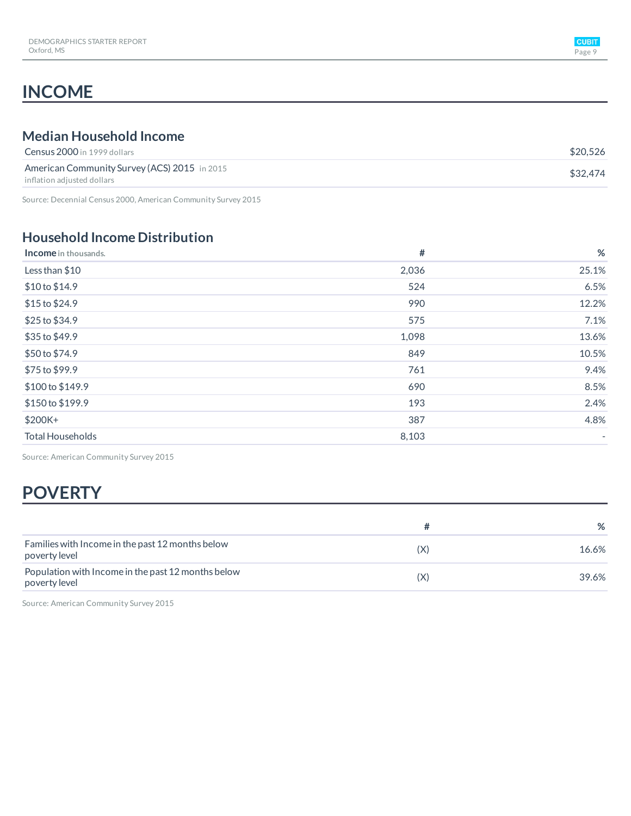## **INCOME**

### **Median Household Income**

| <b>Census 2000</b> in 1999 dollars                                         | \$20.526 |
|----------------------------------------------------------------------------|----------|
| American Community Survey (ACS) 2015 in 2015<br>inflation adiusted dollars | \$32.474 |
|                                                                            |          |

Source: Decennial Census 2000, American Community Survey 2015

### **Household Income Distribution**

| <b>Income</b> in thousands. | #     | %                        |
|-----------------------------|-------|--------------------------|
| Less than \$10              | 2,036 | 25.1%                    |
| \$10 to \$14.9              | 524   | 6.5%                     |
| \$15 to \$24.9              | 990   | 12.2%                    |
| \$25 to \$34.9              | 575   | 7.1%                     |
| \$35 to \$49.9              | 1,098 | 13.6%                    |
| \$50 to \$74.9              | 849   | 10.5%                    |
| \$75 to \$99.9              | 761   | 9.4%                     |
| \$100 to \$149.9            | 690   | 8.5%                     |
| \$150 to \$199.9            | 193   | 2.4%                     |
| \$200K+                     | 387   | 4.8%                     |
| <b>Total Households</b>     | 8,103 | $\overline{\phantom{a}}$ |

Source: American Community Survey 2015

## **POVERTY**

|                                                                     |     | %     |
|---------------------------------------------------------------------|-----|-------|
| Families with Income in the past 12 months below<br>poverty level   | (X) | 16.6% |
| Population with Income in the past 12 months below<br>poverty level | (X) | 39.6% |

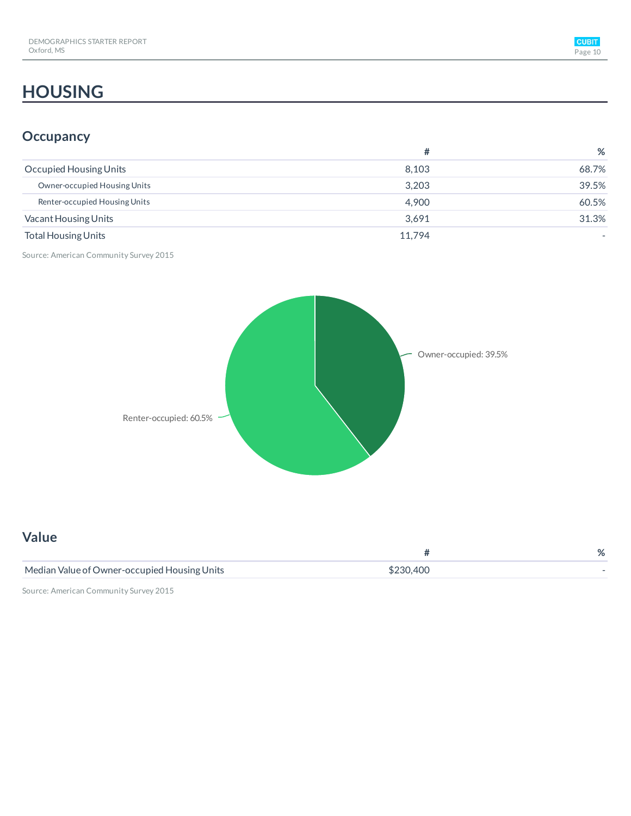## **HOUSING**

### **Occupancy**

|                               | #      | %     |
|-------------------------------|--------|-------|
| Occupied Housing Units        | 8.103  | 68.7% |
| Owner-occupied Housing Units  | 3.203  | 39.5% |
| Renter-occupied Housing Units | 4.900  | 60.5% |
| Vacant Housing Units          | 3.691  | 31.3% |
| <b>Total Housing Units</b>    | 11.794 |       |

Source: American Community Survey 2015



| <b>Value</b>                                 |           |   |
|----------------------------------------------|-----------|---|
|                                              |           | % |
| Median Value of Owner-occupied Housing Units | \$230,400 |   |